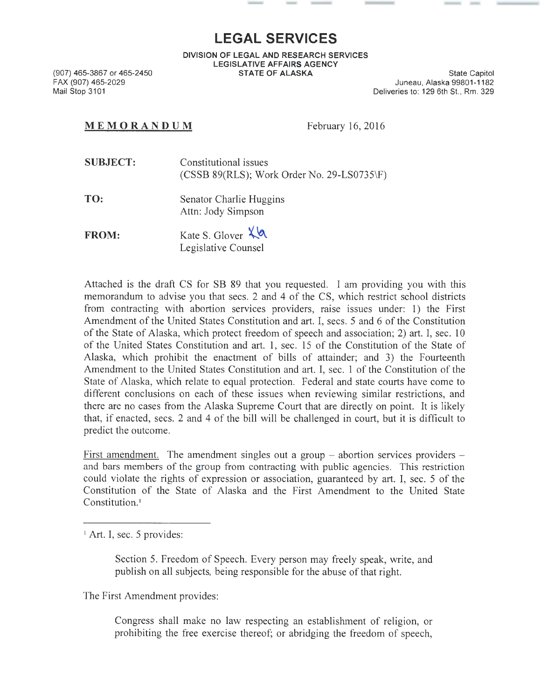## **LEGAL SERVICES**

**DIVISION OF LEGAL AND RESEARCH SERVICES LEGISLATIVE AFFAIRS AGENCY STATE OF ALASKA** State Capitol

(907) 465-3867 or 465-2450 FAX (907) 465-2029 Mail Stop 3101

Juneau, Alaska 99801-1182 Deliveries to: 129 6th St., Rm. 329

## **MEM OR ANDUM** February 16, 2016

**SUBJECT:** Constitutional issues (CSSB 89(RLS); Work Order No. 29-LS0735\F)

**TO:**  Senator Charlie Huggins Attn: Jody Simpson

**FROM:** Kate S. Glover  $\lambda$  **A** Legislative Counsel

Attached is the draft CS for SB 89 that you requested. I am providing you with this memorandum to advise you that sees. 2 and 4 of the CS, which restrict school districts from contracting with abortion services providers, raise issues under: 1) the First Amendment of the United States Constitution and art. I, sees. 5 and 6 of the Constitution of the State of Alaska, which protect freedom of speech and association; 2) art. I, sec. 10 of the United States Constitution and art. 1, sec. 15 of the Constitution of the State of Alaska, which prohibit the enactment of bills of attainder; and 3) the Fourteenth Amendment to the United States Constitution and art. I, sec. 1 of the Constitution of the State of Alaska, which relate to equal protection. Federal and state courts have come to different conclusions on each of these issues when reviewing similar restrictions, and there are no cases from the Alaska Supreme Court that are directly on point. It is likely that, if enacted, sees. 2 and 4 of the bill will be challenged in court, but it is difficult to predict the outcome.

First amendment. The amendment singles out a group  $-$  abortion services providers  $$ and bars members of the group from contracting with public agencies. This restriction could violate the rights of expression or association, guaranteed by art. I, sec. 5 of the Constitution of the State of Alaska and the First Amendment to the United State Constitution. 1

<sup>1</sup> Art. I, sec. 5 provides:

Section 5. Freedom of Speech. Every person may freely speak, write, and publish on all subjects, being responsible for the abuse of that right.

The First Amendment provides:

Congress shall make no law respecting an establishment of religion, or prohibiting the free exercise thereof; or abridging the freedom of speech,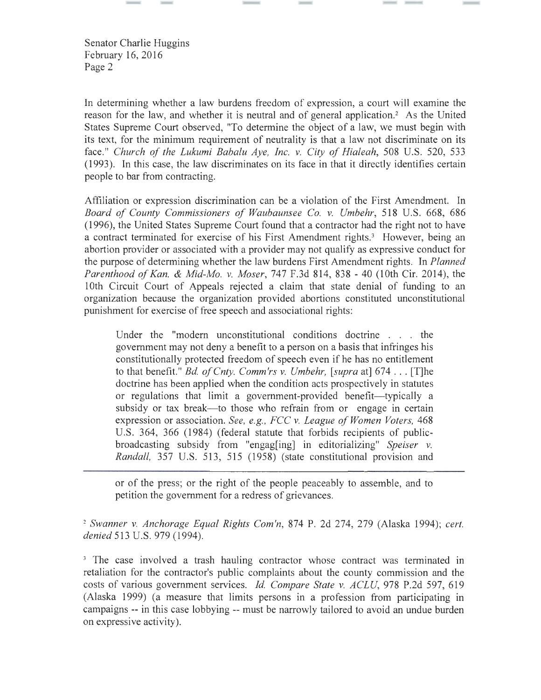In determining whether a law burdens freedom of expression, a court will examine the reason for the law, and whether it is neutral and of general application. 2 As the United States Supreme Court observed, "To determine the object of a law, we must begin with its text, for the minimum requirement of neutrality is that a law not discriminate on its face." *Church of the Lukumi Babalu Aye, Inc. v. City of Hialeah,* 508 U.S. 520, 533 (1993). In this case, the law discriminates on its face in that it directly identifies certain people to bar from contracting.

Affiliation or expression discrimination can be a violation of the First Amendment. In *Board of County Commissioners of Waubaunsee Co. v. Umbehr,* 518 U.S. 668, 686 (1996), the United States Supreme Court found that a contractor had the right not to have a contract terminated for exercise of his First Amendment rights.<sup>3</sup> However, being an abortion provider or associated with a provider may not qualify as expressive conduct for the purpose of determining whether the law burdens First Amendment rights. In *Planned Parenthood of Kan.* & *Mid-Mo. v. Moser,* 747 F.3d 814, 838 - 40 (lOth Cir. 2014), the 1Oth Circuit Court of Appeals rejected a claim that state denial of funding to an organization because the organization provided abortions constituted unconstitutional punishment for exercise of free speech and associational rights:

Under the "modern unconstitutional conditions doctrine . . . the government may not deny a benefit to a person on a basis that infringes his constitutionally protected freedom of speech even if he has no entitlement to that benefit." *Bd. ofCnty. Comm'rs v. Umbehr, [supra* at] 674 ... [T]he doctrine has been applied when the condition acts prospectively in statutes or regulations that limit a government-provided benefit—typically a subsidy or tax break—to those who refrain from or engage in certain expression or association. *See, e.g. , FCC v. League of Women Voters,* 468 U.S. 364, 366 (1984) (federal statute that forbids recipients of publicbroadcasting subsidy from "engag[ing] in editorializing" *Speiser v. Randall*, 357 U.S. 513, 515 (1958) (state constitutional provision and

or of the press; or the right of the people peaceably to assemble, and to petition the government for a redress of grievances.

<sup>2</sup>*Swanner v. Anchorage Equal Rights Com'n,* 874 P. 2d 274, 279 (Alaska 1994); *cert. denied* 513 U.S. 979 (1994).

<sup>3</sup> The case involved a trash hauling contractor whose contract was terminated in retaliation for the contractor's public complaints about the county commission and the costs of various government services. *ld. Compare State v. ACLU,* 978 P.2d 597, 619 (Alaska 1999) (a measure that limits persons in a profession from participating in campaigns -- in this case lobbying -- must be narrowly tailored to avoid an undue burden on expressive activity).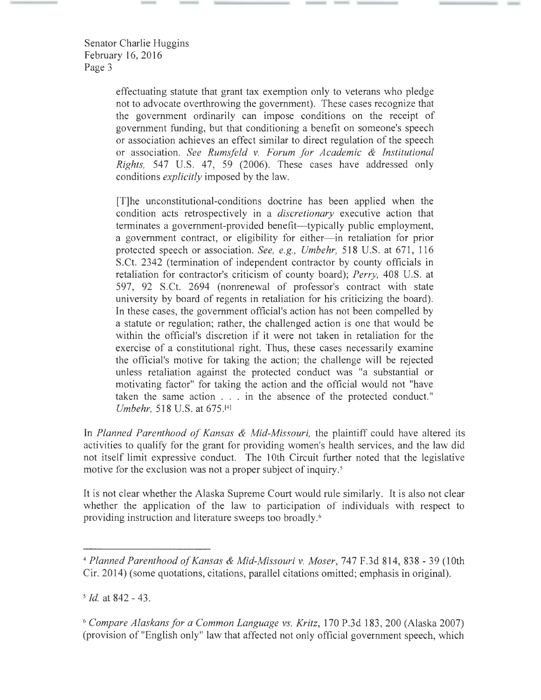> effectuating statute that grant tax exemption only to veterans who pledge not to advocate overthrowing the government). These cases recognize that the government ordinarily can impose conditions on the receipt of government funding, but that conditioning a benefit on someone's speech or association achieves an effect similar to direct regulation of the speech or association. *See Rumsfeld v. Forum for Academic* & *Institutional Rights,* 547 U.S. 47, 59 (2006). These cases have addressed only conditions *explicitly* imposed by the law.

> [T]he unconstitutional-conditions doctrine has been applied when the condition acts retrospectively in a *discretionary* executive action that terminates a government-provided benefit—typically public employment, a government contract, or eligibility for either- in retaliation for prior protected speech or association. *See, e.g. , Umbehr,* 518 U.S. at 671 , 116 S.Ct. 2342 (termination of independent contractor by county officials in retaliation for contractor's criticism of county board); *Perry,* 408 U.S. at 597, 92 S.Ct. 2694 (nomenewal of professor's contract with state university by board of regents in retaliation for his criticizing the board). In these cases, the government official's action has not been compelled by a statute or regulation; rather, the challenged action is one that would be within the official's discretion if it were not taken in retaliation for the exercise of a constitutional right. Thus, these cases necessarily examine the official's motive for taking the action; the challenge will be rejected unless retaliation against the protected conduct was "a substantial or motivating factor" for taking the action and the official would not "have taken the same action . . . in the absence of the protected conduct." *Umbehr,* 518 U.S. at 675.[4<sup>1</sup>

In *Planned Parenthood of Kansas* & *Mid-Missouri,* the plaintiff could have altered its activities to qualify for the grant for providing women's health services, and the law did not itself limit expressive conduct. The 1Oth Circuit further noted that the legislative motive for the exclusion was not a proper subject of inquiry.<sup>5</sup>

It is not clear whether the Alaska Supreme Court would rule similarly. It is also not clear whether the application of the law to participation of individuals with respect to providing instruction and literature sweeps too broadly. 6

<sup>6</sup>*Compare Alaskans for a Common Language vs. Kritz,* 170 P.3d 183, 200 (Alaska 2007) (provision of "English only" law that affected not only official government speech, which

<sup>4</sup>*Planned Parenthood of Kansas* & *Mid-Missouri v. Moser,* 747 F.3d 814, 838- 39 (lOth Cir. 2014) (some quotations, citations, parallel citations omitted; emphasis in original).

*<sup>5</sup> ld.* at 842- 43.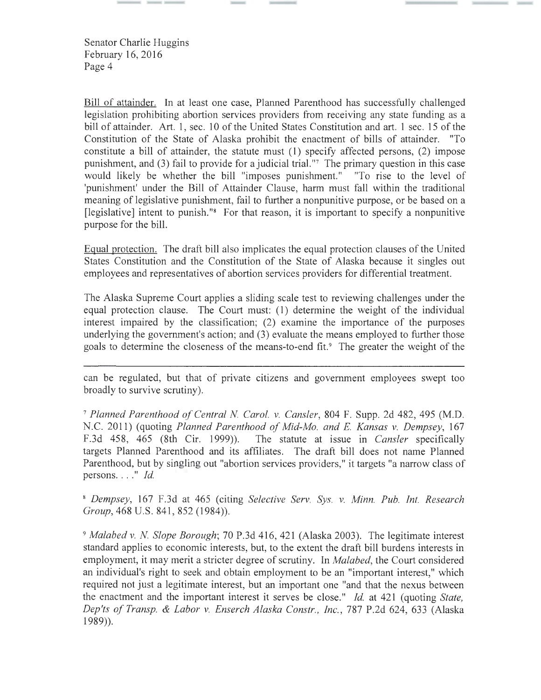Bill of attainder. In at least one case, Planned Parenthood has successfully challenged legislation prohibiting abortion services providers from receiving any state funding as a bill of attainder. Art. 1, sec. 10 of the United States Constitution and art. 1 sec. 15 of the Constitution of the State of Alaska prohibit the enactment of bills of attainder. "To constitute a bill of attainder, the statute must (1) specify affected persons, (2) impose punishment, and (3) fail to provide for a judicial trial. "7 The primary question in this case would likely be whether the bill "imposes punishment." "To rise to the level of 'punishment' under the Bill of Attainder Clause, harm must fall within the traditional meaning of legislative punishment, fail to further a nonpunitive purpose, or be based on a [legislative] intent to punish."<sup>8</sup> For that reason, it is important to specify a nonpunitive purpose for the bill.

Equal protection. The draft bill also implicates the equal protection clauses of the United States Constitution and the Constitution of the State of Alaska because it singles out employees and representatives of abortion services providers for differential treatment.

The Alaska Supreme Court applies a sliding scale test to reviewing challenges under the equal protection clause. The Court must: (1) determine the weight of the individual interest impaired by the classification; (2) examine the importance of the purposes underlying the government's action; and (3) evaluate the means employed to further those goals to determine the closeness of the means-to-end fit.<sup>9</sup> The greater the weight of the

can be regulated, but that of private citizens and government employees swept too broadly to survive scrutiny).

<sup>7</sup>*Planned Parenthood of Central N. Carol. v. Cansler,* 804 F. Supp. 2d 482, 495 (M.D. N.C. 2011) (quoting *Planned Parenthood of Mid-Mo. and* E. *Kansas v. Dempsey,* 167 F.3d 458, 465 (8th Cir. 1999)). The statute at issue in *Cansler* specifically targets Planned Parenthood and its affiliates. The draft bill does not name Planned Parenthood, but by singling out "abortion services providers," it targets "a narrow class of persons...."  $Id$ .

<sup>8</sup>*Dempsey,* 167 F.3d at 465 (citing *Selective Serv. Sys. v. Minn. Pub. Int. Research Group*, 468 U.S. 841, 852 (1984)).

<sup>9</sup>*Malabed v. N. Slope Borough;* 70 P.3d 416, 421 (Alaska 2003). The legitimate interest standard applies to economic interests, but, to the extent the draft bill burdens interests in employment, it may merit a stricter degree of scrutiny. In *Malabed,* the Court considered an individual's right to seek and obtain employment to be an "important interest," which required not just a legitimate interest, but an important one "and that the nexus between the enactment and the important interest it serves be close." *Id.* at 421 (quoting *State, Dep'ts of Transp.* & *Labor v. Enserch Alaska Constr. , Inc. ,* 787 P.2d 624, 633 (Alaska 1989)).